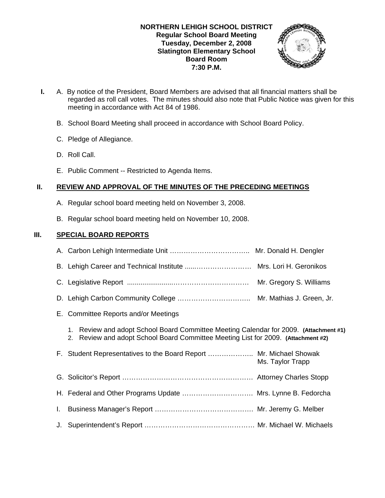### **NORTHERN LEHIGH SCHOOL DISTRICT Regular School Board Meeting Tuesday, December 2, 2008 Slatington Elementary School Board Room 7:30 P.M.**



- **I.** A. By notice of the President, Board Members are advised that all financial matters shall be regarded as roll call votes. The minutes should also note that Public Notice was given for this meeting in accordance with Act 84 of 1986.
	- B. School Board Meeting shall proceed in accordance with School Board Policy.
	- C. Pledge of Allegiance.
	- D. Roll Call.
	- E. Public Comment -- Restricted to Agenda Items.

# **II. REVIEW AND APPROVAL OF THE MINUTES OF THE PRECEDING MEETINGS**

- A. Regular school board meeting held on November 3, 2008.
- B. Regular school board meeting held on November 10, 2008.

# **III. SPECIAL BOARD REPORTS**

|     | B. Lehigh Career and Technical Institute  Mrs. Lori H. Geronikos                                                                                                                 |                         |
|-----|----------------------------------------------------------------------------------------------------------------------------------------------------------------------------------|-------------------------|
|     |                                                                                                                                                                                  | Mr. Gregory S. Williams |
|     |                                                                                                                                                                                  |                         |
|     | E. Committee Reports and/or Meetings                                                                                                                                             |                         |
|     | Review and adopt School Board Committee Meeting Calendar for 2009. (Attachment #1)<br>1.<br>Review and adopt School Board Committee Meeting List for 2009. (Attachment #2)<br>2. |                         |
|     | F. Student Representatives to the Board Report  Mr. Michael Showak                                                                                                               | Ms. Taylor Trapp        |
|     |                                                                                                                                                                                  |                         |
|     | H. Federal and Other Programs Update  Mrs. Lynne B. Fedorcha                                                                                                                     |                         |
| I., |                                                                                                                                                                                  |                         |
|     |                                                                                                                                                                                  |                         |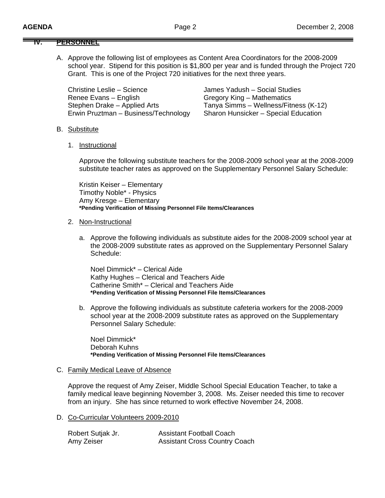#### **IV. PERSONNEL**

A. Approve the following list of employees as Content Area Coordinators for the 2008-2009 school year. Stipend for this position is \$1,800 per year and is funded through the Project 720 Grant. This is one of the Project 720 initiatives for the next three years.

Christine Leslie – Science James Yadush – Social Studies Renee Evans – English Gregory King – Mathematics Erwin Pruztman – Business/Technology Sharon Hunsicker – Special Education

Stephen Drake – Applied Arts Tanya Simms – Wellness/Fitness (K-12)

#### B. Substitute

1. Instructional

 Approve the following substitute teachers for the 2008-2009 school year at the 2008-2009 substitute teacher rates as approved on the Supplementary Personnel Salary Schedule:

Kristin Keiser – Elementary Timothy Noble\* - Physics Amy Kresge – Elementary **\*Pending Verification of Missing Personnel File Items/Clearances** 

#### 2. Non-Instructional

a. Approve the following individuals as substitute aides for the 2008-2009 school year at the 2008-2009 substitute rates as approved on the Supplementary Personnel Salary Schedule:

 Noel Dimmick\* – Clerical Aide Kathy Hughes – Clerical and Teachers Aide Catherine Smith\* – Clerical and Teachers Aide **\*Pending Verification of Missing Personnel File Items/Clearances**

b. Approve the following individuals as substitute cafeteria workers for the 2008-2009 school year at the 2008-2009 substitute rates as approved on the Supplementary Personnel Salary Schedule:

 Noel Dimmick\* Deborah Kuhns **\*Pending Verification of Missing Personnel File Items/Clearances**

#### C. Family Medical Leave of Absence

Approve the request of Amy Zeiser, Middle School Special Education Teacher, to take a family medical leave beginning November 3, 2008. Ms. Zeiser needed this time to recover from an injury. She has since returned to work effective November 24, 2008.

D. Co-Curricular Volunteers 2009-2010

| Robert Sutjak Jr. | <b>Assistant Football Coach</b>      |
|-------------------|--------------------------------------|
| Amy Zeiser        | <b>Assistant Cross Country Coach</b> |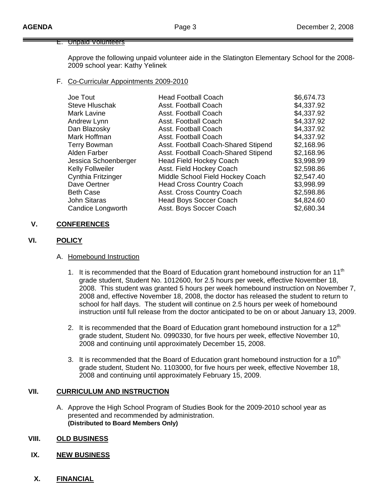### E. Unpaid Volunteers

Approve the following unpaid volunteer aide in the Slatington Elementary School for the 2008- 2009 school year: Kathy Yelinek

F. Co-Curricular Appointments 2009-2010

| <b>Head Football Coach</b>          | \$6,674.73 |
|-------------------------------------|------------|
| Asst. Football Coach                | \$4,337.92 |
| Asst. Football Coach                | \$4,337.92 |
| Asst. Football Coach                | \$4,337.92 |
| Asst. Football Coach                | \$4,337.92 |
| Asst. Football Coach                | \$4,337.92 |
| Asst. Football Coach-Shared Stipend | \$2,168.96 |
| Asst. Football Coach-Shared Stipend | \$2,168.96 |
| <b>Head Field Hockey Coach</b>      | \$3,998.99 |
| Asst. Field Hockey Coach            | \$2,598.86 |
| Middle School Field Hockey Coach    | \$2,547.40 |
| <b>Head Cross Country Coach</b>     | \$3,998.99 |
| Asst. Cross Country Coach           | \$2,598.86 |
| <b>Head Boys Soccer Coach</b>       | \$4,824.60 |
| Asst. Boys Soccer Coach             | \$2,680.34 |
|                                     |            |

### **V. CONFERENCES**

#### **VI. POLICY**

#### A. Homebound Instruction

- 1. It is recommended that the Board of Education grant homebound instruction for an 11<sup>th</sup> grade student, Student No. 1012600, for 2.5 hours per week, effective November 18, 2008. This student was granted 5 hours per week homebound instruction on November 7, 2008 and, effective November 18, 2008, the doctor has released the student to return to school for half days. The student will continue on 2.5 hours per week of homebound instruction until full release from the doctor anticipated to be on or about January 13, 2009.
- 2. It is recommended that the Board of Education grant homebound instruction for a  $12<sup>th</sup>$ grade student, Student No. 0990330, for five hours per week, effective November 10, 2008 and continuing until approximately December 15, 2008.
- 3. It is recommended that the Board of Education grant homebound instruction for a  $10<sup>th</sup>$ grade student, Student No. 1103000, for five hours per week, effective November 18, 2008 and continuing until approximately February 15, 2009.

# **VII. CURRICULUM AND INSTRUCTION**

A. Approve the High School Program of Studies Book for the 2009-2010 school year as presented and recommended by administration. **(Distributed to Board Members Only)** 

### **VIII. OLD BUSINESS**

- **IX. NEW BUSINESS**
- **X. FINANCIAL**